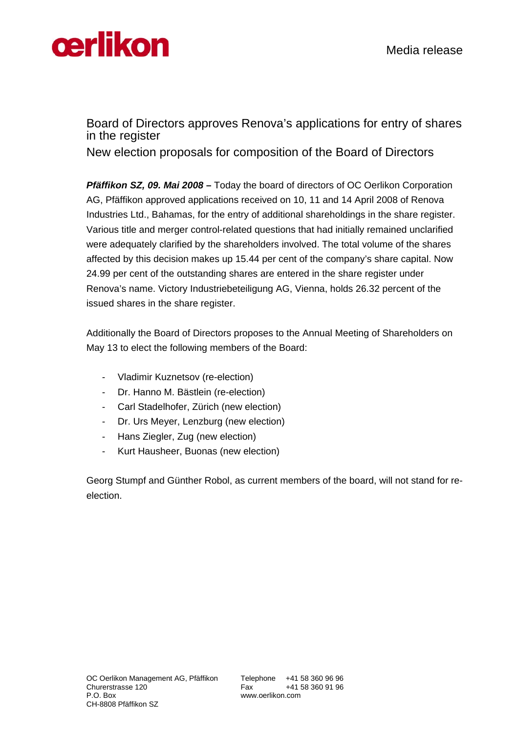

## Board of Directors approves Renova's applications for entry of shares in the register

New election proposals for composition of the Board of Directors

*Pfäffikon SZ, 09. Mai 2008* **–** Today the board of directors of OC Oerlikon Corporation AG, Pfäffikon approved applications received on 10, 11 and 14 April 2008 of Renova Industries Ltd., Bahamas, for the entry of additional shareholdings in the share register. Various title and merger control-related questions that had initially remained unclarified were adequately clarified by the shareholders involved. The total volume of the shares affected by this decision makes up 15.44 per cent of the company's share capital. Now 24.99 per cent of the outstanding shares are entered in the share register under Renova's name. Victory Industriebeteiligung AG, Vienna, holds 26.32 percent of the issued shares in the share register.

Additionally the Board of Directors proposes to the Annual Meeting of Shareholders on May 13 to elect the following members of the Board:

- Vladimir Kuznetsov (re-election)
- Dr. Hanno M. Bästlein (re-election)
- Carl Stadelhofer, Zürich (new election)
- Dr. Urs Meyer, Lenzburg (new election)
- Hans Ziegler, Zug (new election)
- Kurt Hausheer, Buonas (new election)

Georg Stumpf and Günther Robol, as current members of the board, will not stand for reelection.